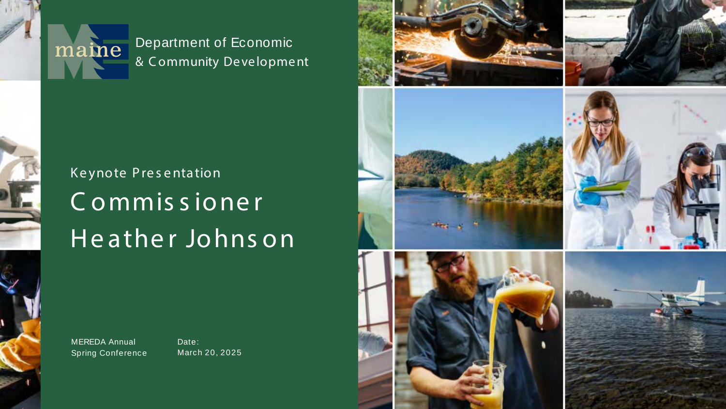

Department of Economic & Community Development

## Keynote Presentation Commissioner Heather Johnson

**MEREDA Annual Spring Conference** 

Date: March 20, 2025

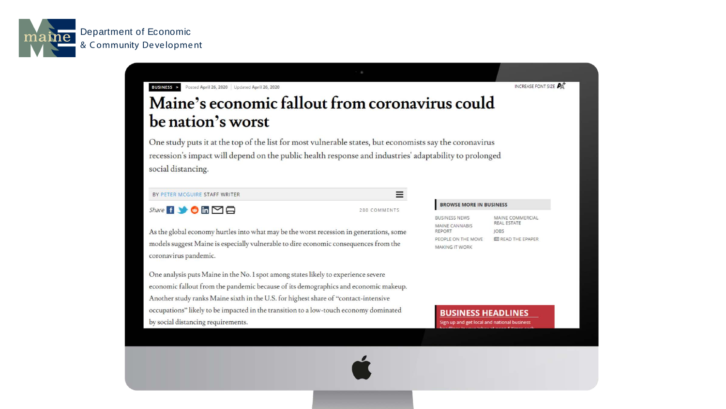

**Department of Economic** & Community Development

**BUSINESS >** Posted April 26, 2020 Updated April 26, 2020

### Maine's economic fallout from coronavirus could be nation's worst

One study puts it at the top of the list for most vulnerable states, but economists say the coronavirus recession's impact will depend on the public health response and industries' adaptability to prolonged social distancing.

BY PETER MCGUIRE STAFF WRITER

Share **6 9 6 6 9 8** 

280 COMMENTS

 $\equiv$ 

As the global economy hurtles into what may be the worst recession in generations, some models suggest Maine is especially vulnerable to dire economic consequences from the coronavirus pandemic.

One analysis puts Maine in the No. 1 spot among states likely to experience severe economic fallout from the pandemic because of its demographics and economic makeup. Another study ranks Maine sixth in the U.S. for highest share of "contact-intensive occupations" likely to be impacted in the transition to a low-touch economy dominated by social distancing requirements.

**BUSINESS NEWS** REPORT PEOPLE ON THE MOVE **MAKING IT WORK** 



### **BROWSE MORE IN BUSINESS**

**MAINE CANNABIS** 

MAINE COMMERCIAL REAL ESTATE **JOBS EE READ THE EPAPER** 

INCREASE FONT SIZE

### **BUSINESS HEADLINES**

Sign up and get local and national business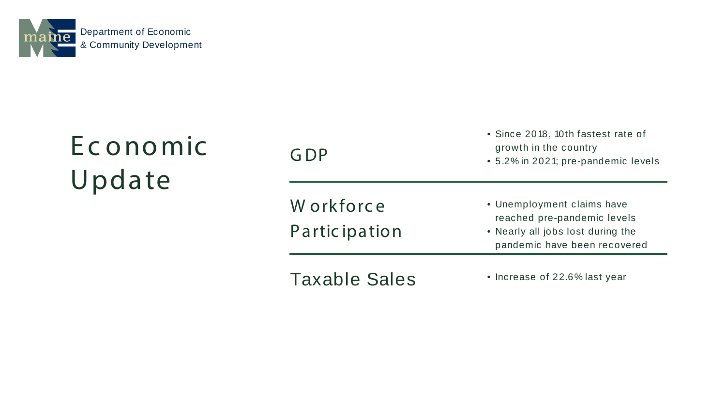## Ec onomic Update

W orkforce P artic ipation

G DP

### • Since 2018, 10th fastest rate of growth in the country

- 5.2% in 2021; pre-pandemic levels
- Unemployment claims have reached pre-pandemic levels
- Nearly all jobs lost during the pandemic have been recovered
- Increase of 22.6% last year



Taxable Sales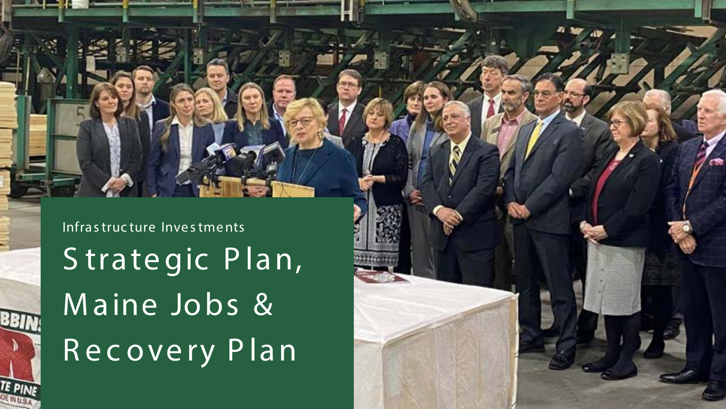Infrastructure Investments Strategic Plan, Maine Jobs & Recovery Plan

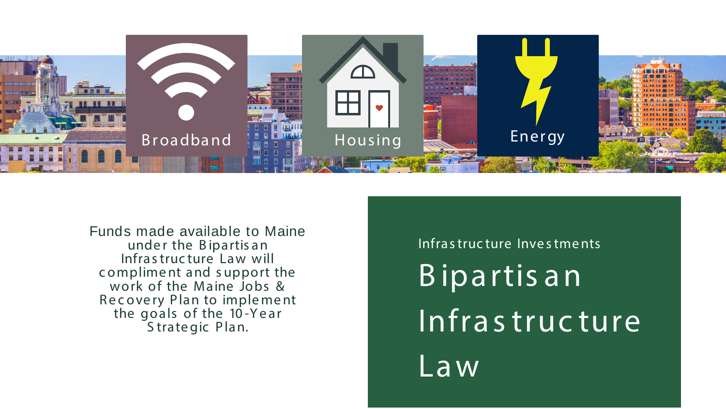

Funds made available to Maine under the Bipartisan Infrastructure Law will compliment and support the<br>work of the Maine Jobs & Recovery Plan to implement<br>the goals of the 10-Year Strategic Plan.

Law

# Infrastructure Investments Bipartisan Infrastructure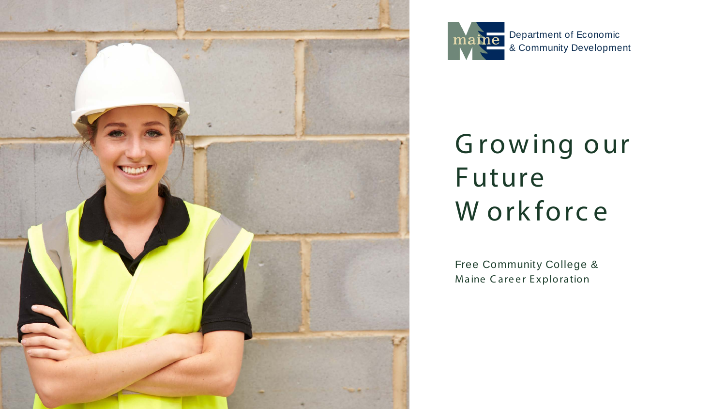



## Growing our Future W orkforce

Free Community College & Maine Career Exploration